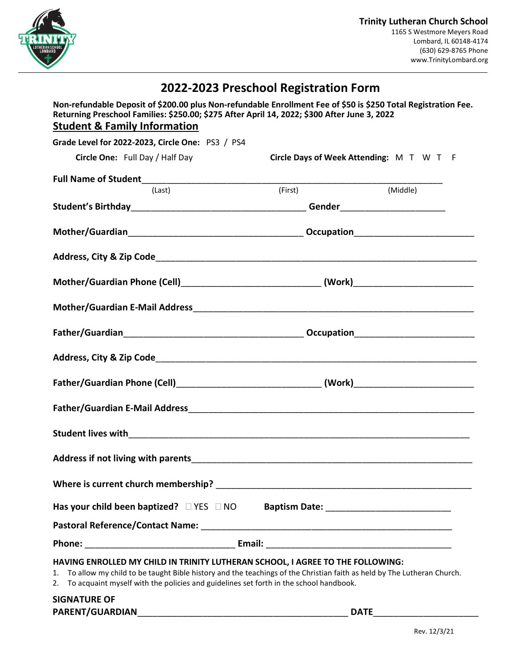

## 2022-2023 Preschool Registration Form

Non-refundable Deposit of \$200.00 plus Non-refundable Enrollment Fee of \$50 is \$250 Total Registration Fee. Returning Preschool Families: \$250.00; \$275 After April 14, 2022; \$300 After June 3, 2022 Student & Family Information

| Grade Level for 2022-2023, Circle One: PS3 / PS4                                                                                                                                                                                                                                                             |         |                                          |  |
|--------------------------------------------------------------------------------------------------------------------------------------------------------------------------------------------------------------------------------------------------------------------------------------------------------------|---------|------------------------------------------|--|
| Circle One: Full Day / Half Day                                                                                                                                                                                                                                                                              |         | Circle Days of Week Attending: M T W T F |  |
|                                                                                                                                                                                                                                                                                                              |         |                                          |  |
| (Last)                                                                                                                                                                                                                                                                                                       | (First) | (Middle)                                 |  |
|                                                                                                                                                                                                                                                                                                              |         |                                          |  |
|                                                                                                                                                                                                                                                                                                              |         |                                          |  |
|                                                                                                                                                                                                                                                                                                              |         |                                          |  |
| Mother/Guardian Phone (Cell)_________________________________(Work)_________________________________                                                                                                                                                                                                         |         |                                          |  |
|                                                                                                                                                                                                                                                                                                              |         |                                          |  |
|                                                                                                                                                                                                                                                                                                              |         |                                          |  |
| Address, City & Zip Code <b>Address</b> City & Zip Code                                                                                                                                                                                                                                                      |         |                                          |  |
|                                                                                                                                                                                                                                                                                                              |         |                                          |  |
|                                                                                                                                                                                                                                                                                                              |         |                                          |  |
|                                                                                                                                                                                                                                                                                                              |         |                                          |  |
|                                                                                                                                                                                                                                                                                                              |         |                                          |  |
|                                                                                                                                                                                                                                                                                                              |         |                                          |  |
| Has your child been baptized? $\Box$ YES $\Box$ NO Baptism Date: ____________________                                                                                                                                                                                                                        |         |                                          |  |
| Pastoral Reference/Contact Name: Manual According to the Contract Order of the Contract of Tasks and Tasks and                                                                                                                                                                                               |         |                                          |  |
|                                                                                                                                                                                                                                                                                                              |         |                                          |  |
| HAVING ENROLLED MY CHILD IN TRINITY LUTHERAN SCHOOL, I AGREE TO THE FOLLOWING:<br>To allow my child to be taught Bible history and the teachings of the Christian faith as held by The Lutheran Church.<br>1.<br>To acquaint myself with the policies and guidelines set forth in the school handbook.<br>2. |         |                                          |  |
| <b>SIGNATURE OF</b>                                                                                                                                                                                                                                                                                          |         |                                          |  |